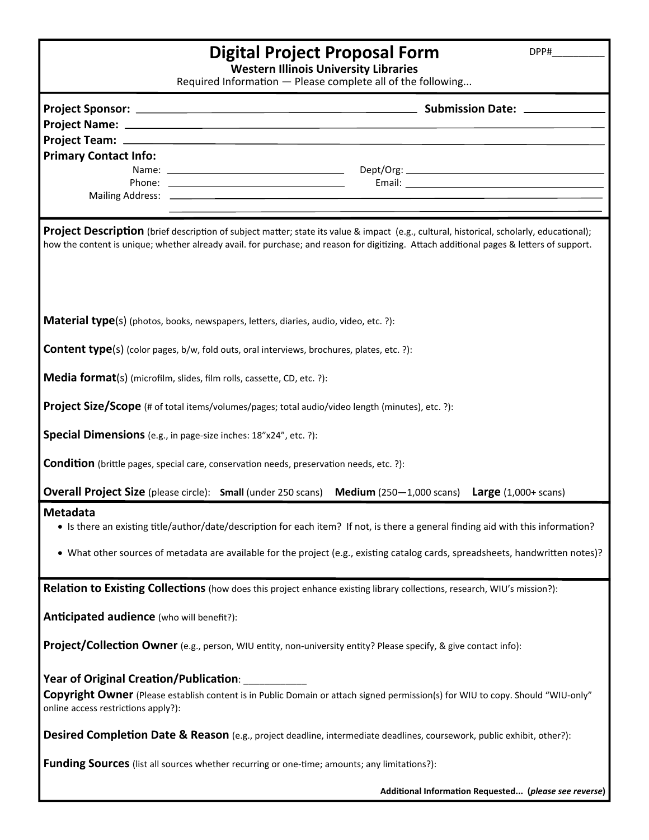| Digital Project Proposal Form<br>DPP#                                                                                                                                                                                                                                                |  |  |
|--------------------------------------------------------------------------------------------------------------------------------------------------------------------------------------------------------------------------------------------------------------------------------------|--|--|
| <b>Western Illinois University Libraries</b><br>Required Information - Please complete all of the following                                                                                                                                                                          |  |  |
|                                                                                                                                                                                                                                                                                      |  |  |
|                                                                                                                                                                                                                                                                                      |  |  |
|                                                                                                                                                                                                                                                                                      |  |  |
| <b>Primary Contact Info:</b>                                                                                                                                                                                                                                                         |  |  |
|                                                                                                                                                                                                                                                                                      |  |  |
|                                                                                                                                                                                                                                                                                      |  |  |
|                                                                                                                                                                                                                                                                                      |  |  |
| Project Description (brief description of subject matter; state its value & impact (e.g., cultural, historical, scholarly, educational);<br>how the content is unique; whether already avail. for purchase; and reason for digitizing. Attach additional pages & letters of support. |  |  |
| <b>Material type</b> (s) (photos, books, newspapers, letters, diaries, audio, video, etc. ?):                                                                                                                                                                                        |  |  |
| <b>Content type</b> (s) (color pages, b/w, fold outs, oral interviews, brochures, plates, etc. ?):                                                                                                                                                                                   |  |  |
| <b>Media format(s)</b> (microfilm, slides, film rolls, cassette, CD, etc. ?):                                                                                                                                                                                                        |  |  |
| <b>Project Size/Scope</b> (# of total items/volumes/pages; total audio/video length (minutes), etc. ?):                                                                                                                                                                              |  |  |
| Special Dimensions (e.g., in page-size inches: 18"x24", etc. ?):                                                                                                                                                                                                                     |  |  |
| <b>Condition</b> (brittle pages, special care, conservation needs, preservation needs, etc. ?):                                                                                                                                                                                      |  |  |
| <b>Overall Project Size</b> (please circle): Small (under 250 scans) Medium (250-1,000 scans) Large (1,000+ scans)                                                                                                                                                                   |  |  |
| Metadata                                                                                                                                                                                                                                                                             |  |  |
| • Is there an existing title/author/date/description for each item? If not, is there a general finding aid with this information?                                                                                                                                                    |  |  |
| • What other sources of metadata are available for the project (e.g., existing catalog cards, spreadsheets, handwritten notes)?                                                                                                                                                      |  |  |
| Relation to Existing Collections (how does this project enhance existing library collections, research, WIU's mission?):                                                                                                                                                             |  |  |
| Anticipated audience (who will benefit?):                                                                                                                                                                                                                                            |  |  |
| Project/Collection Owner (e.g., person, WIU entity, non-university entity? Please specify, & give contact info):                                                                                                                                                                     |  |  |
| Year of Original Creation/Publication:<br>Copyright Owner (Please establish content is in Public Domain or attach signed permission(s) for WIU to copy. Should "WIU-only"<br>online access restrictions apply?):                                                                     |  |  |
| Desired Completion Date & Reason (e.g., project deadline, intermediate deadlines, coursework, public exhibit, other?):                                                                                                                                                               |  |  |
| <b>Funding Sources</b> (list all sources whether recurring or one-time; amounts; any limitations?):                                                                                                                                                                                  |  |  |
| Additional Information Requested (please see reverse)                                                                                                                                                                                                                                |  |  |